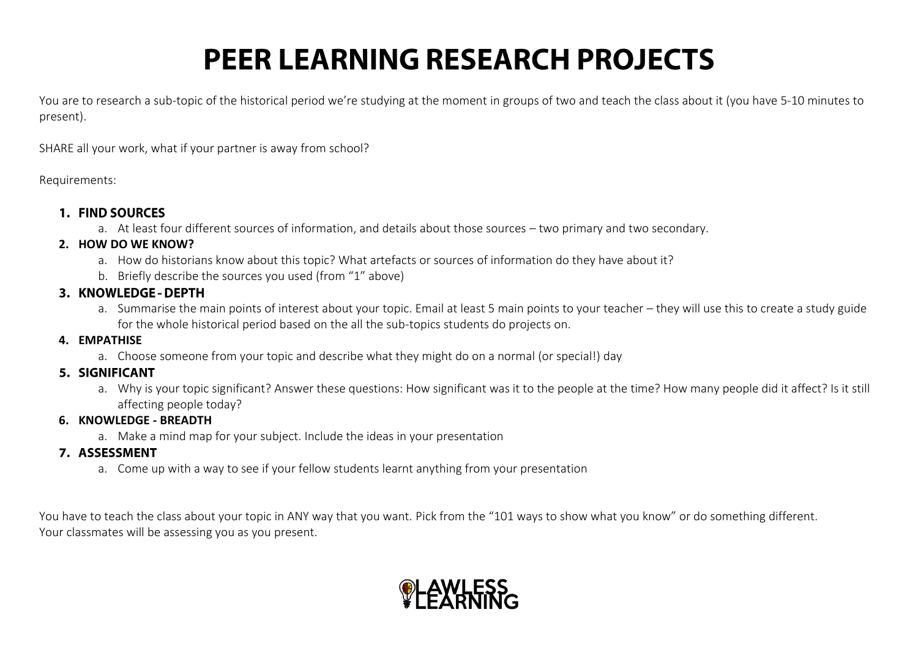# **PEER LEARNING RESEARCH PROJECTS**

You are to research a sub-topic of the historical period we're studying at the moment in groups of two and teach the class about it (you have 5-10 minutes to present).

SHARE all your work, what if your partner is away from school?

Requirements:

#### 1. FIND SOURCES

a. At least four different sources of information, and details about those sources – two primary and two secondary.

### **2. HOW DO WE KNOW?**

- a. How do historians know about this topic? What artefacts or sources of information do they have about it?
- b. Briefly describe the sources you used (from "1" above)

## 3. KNOWLEDGE - DEPTH

a. Summarise the main points of interest about your topic. Email at least 5 main points to your teacher – they will use this to create a study guide for the whole historical period based on the all the sub-topics students do projects on.

### **4. EMPATHISE**

a. Choose someone from your topic and describe what they might do on a normal (or special!) day

# 5. SIGNIFICANT

a. Why is your topic significant? Answer these questions: How significant was it to the people at the time? How many people did it affect? Is it still affecting people today?

## **6. KNOWLEDGE - BREADTH**

a. Make a mind map for your subject. Include the ideas in your presentation

# 7. ASSESSMENT

a. Come up with a way to see if your fellow students learnt anything from your presentation

You have to teach the class about your topic in ANY way that you want. Pick from the "101 ways to show what you know" or do something different. Your classmates will be assessing you as you present.

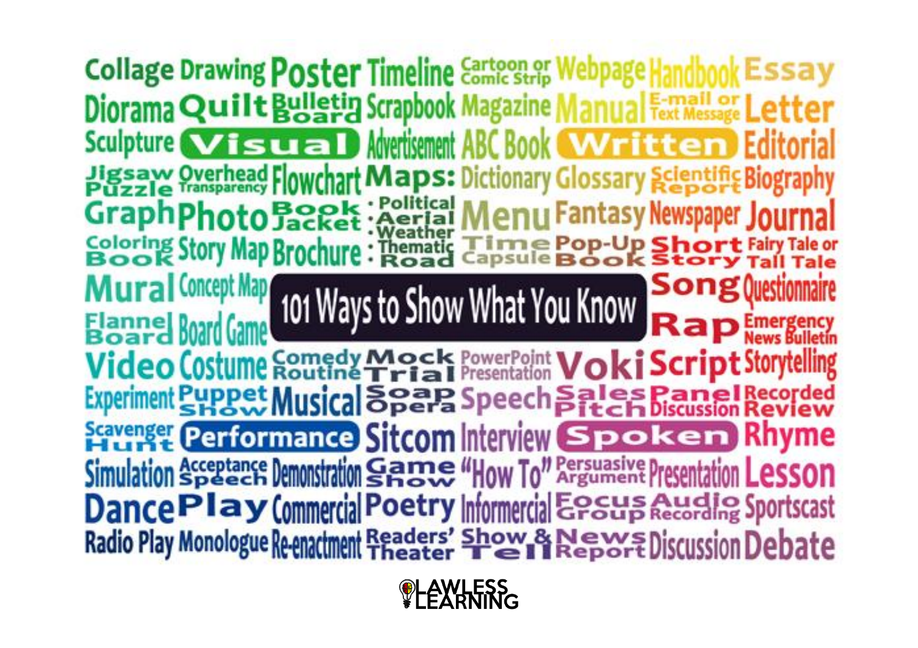**Collage Drawing Poster Timeline Cartoon or Webpage** Diorama Quilt Bulletin Scrapbook Magazine Sculpture **Visual** Movertisement ABC Book **Jigsaw Overhead Flowchart Maps: Dictionary Glossary Scientific Biography** : Political Menu Fantasy Newspaper Jour Graph Photo Booket Coloring Story Map Brochure Time Pop-Up SI<br>Capsule Book S **Song Question Lural Concept Map** 101 Ways to Show What You Know Video Costume Comedy Mock PowerPoint Voki Script Storytelling Experiment Puppet Musical Speech Sales Panel Recorded **Scavenger Performance Sitcom Interview Spoken Rhyme** Simulation Acceptance Demonstration Game "How To" Argument Presentation DancePlay Commercial Poetry Informercial Englished Sportscast Radio Play Monologue Re-enactment Readers' Show & News Discussion Debate

**OLAWLESS**